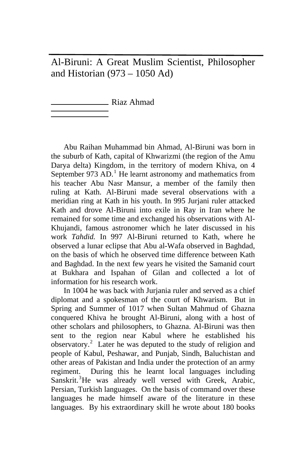Al-Biruni: A Great Muslim Scientist, Philosopher and Historian (973 – 1050 Ad)

Riaz Ahmad

Abu Raihan Muhammad bin Ahmad, Al-Biruni was born in the suburb of Kath, capital of Khwarizmi (the region of the Amu Darya delta) Kingdom, in the territory of modern Khiva, on 4 September 973  $AD$ .<sup>[1](#page-12-0)</sup> He learnt astronomy and mathematics from his teacher Abu Nasr Mansur, a member of the family then ruling at Kath. Al-Biruni made several observations with a meridian ring at Kath in his youth. In 995 Jurjani ruler attacked Kath and drove Al-Biruni into exile in Ray in Iran where he remained for some time and exchanged his observations with Al-Khujandi, famous astronomer which he later discussed in his work *Tahdid.* In 997 Al-Biruni returned to Kath, where he observed a lunar eclipse that Abu al-Wafa observed in Baghdad, on the basis of which he observed time difference between Kath and Baghdad. In the next few years he visited the Samanid court at Bukhara and Ispahan of Gilan and collected a lot of information for his research work.

In 1004 he was back with Jurjania ruler and served as a chief diplomat and a spokesman of the court of Khwarism. But in Spring and Summer of 1017 when Sultan Mahmud of Ghazna conquered Khiva he brought Al-Biruni, along with a host of other scholars and philosophers, to Ghazna. Al-Biruni was then sent to the region near Kabul where he established his observatory.<sup>[2](#page-12-1)</sup> Later he was deputed to the study of religion and people of Kabul, Peshawar, and Punjab, Sindh, Baluchistan and other areas of Pakistan and India under the protection of an army regiment. During this he learnt local languages including Sanskrit.<sup>[3](#page-12-1)</sup>He was already well versed with Greek, Arabic, Persian, Turkish languages. On the basis of command over these languages he made himself aware of the literature in these languages. By his extraordinary skill he wrote about 180 books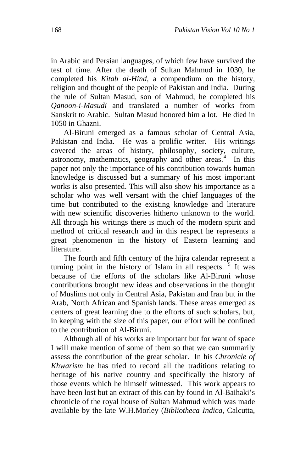in Arabic and Persian languages, of which few have survived the test of time. After the death of Sultan Mahmud in 1030, he completed his *Kitab al-Hind*, a compendium on the history, religion and thought of the people of Pakistan and India. During the rule of Sultan Masud, son of Mahmud, he completed his *Qanoon-i-Masudi* and translated a number of works from Sanskrit to Arabic. Sultan Masud honored him a lot. He died in 1050 in Ghazni.

Al-Biruni emerged as a famous scholar of Central Asia, Pakistan and India. He was a prolific writer. His writings covered the areas of history, philosophy, society, culture, astronomy, mathematics, geography and other areas.<sup>[4](#page-12-1)</sup> In this paper not only the importance of his contribution towards human knowledge is discussed but a summary of his most important works is also presented. This will also show his importance as a scholar who was well versant with the chief languages of the time but contributed to the existing knowledge and literature with new scientific discoveries hitherto unknown to the world. All through his writings there is much of the modern spirit and method of critical research and in this respect he represents a great phenomenon in the history of Eastern learning and literature.

The fourth and fifth century of the hijra calendar represent a turning point in the history of Islam in all respects.  $5$  It was because of the efforts of the scholars like Al-Biruni whose contributions brought new ideas and observations in the thought of Muslims not only in Central Asia, Pakistan and Iran but in the Arab, North African and Spanish lands. These areas emerged as centers of great learning due to the efforts of such scholars, but, in keeping with the size of this paper, our effort will be confined to the contribution of Al-Biruni.

Although all of his works are important but for want of space I will make mention of some of them so that we can summarily assess the contribution of the great scholar. In his *Chronicle of Khwarism* he has tried to record all the traditions relating to heritage of his native country and specifically the history of those events which he himself witnessed. This work appears to have been lost but an extract of this can by found in Al-Baihaki's chronicle of the royal house of Sultan Mahmud which was made available by the late W.H.Morley (*Bibliotheca Indica*, Calcutta,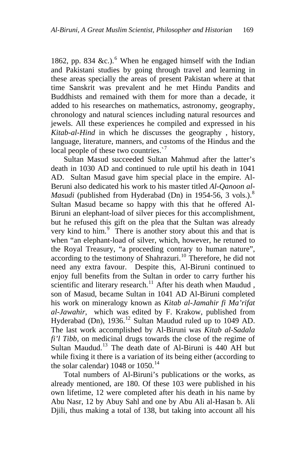18[6](#page-12-1)2, pp. 834 &c.).<sup>6</sup> When he engaged himself with the Indian and Pakistani studies by going through travel and learning in these areas specially the areas of present Pakistan where at that time Sanskrit was prevalent and he met Hindu Pandits and Buddhists and remained with them for more than a decade, it added to his researches on mathematics, astronomy, geography, chronology and natural sciences including natural resources and jewels. All these experiences he compiled and expressed in his *Kitab-al-Hind* in which he discusses the geography , history, language, literature, manners, and customs of the Hindus and the local people of these two countries.<sup>[7](#page-12-1)</sup>

Sultan Masud succeeded Sultan Mahmud after the latter's death in 1030 AD and continued to rule uptil his death in 1041 AD. Sultan Masud gave him special place in the empire. Al-Beruni also dedicated his work to his master titled *Al-Qanoon al-Masudi* (published from Hyderabad (Dn) in 1954-56, 3 vols.).<sup>[8](#page-12-1)</sup> Sultan Masud became so happy with this that he offered Al-Biruni an elephant-load of silver pieces for this accomplishment, but he refused this gift on the plea that the Sultan was already very kind to him.<sup>[9](#page-12-1)</sup> There is another story about this and that is when "an elephant-load of silver, which, however, he retuned to the Royal Treasury, "a proceeding contrary to human nature", according to the testimony of Shahrazuri.<sup>[10](#page-12-1)</sup> Therefore, he did not need any extra favour. Despite this, Al-Biruni continued to enjoy full benefits from the Sultan in order to carry further his scientific and literary research.<sup>[11](#page-12-1)</sup> After his death when Maudud, son of Masud, became Sultan in 1041 AD Al-Biruni completed his work on mineralogy known as *Kitab al-Jamahir fi Ma'rifat al-Jawahir*, which was edited by F. Krakow, published from Hyderabad (Dn),  $1936$ <sup>[12](#page-12-1)</sup> Sultan Maudud ruled up to 1049 AD. The last work accomplished by Al-Biruni was *Kitab al-Sadala fi'l Tibb,* on medicinal drugs towards the close of the regime of Sultan Maudud.<sup>[13](#page-12-1)</sup> The death date of Al-Biruni is 440 AH but while fixing it there is a variation of its being either (according to the solar calendar)  $1048$  or  $1050.<sup>14</sup>$  $1050.<sup>14</sup>$  $1050.<sup>14</sup>$ 

Total numbers of Al-Biruni's publications or the works, as already mentioned, are 180. Of these 103 were published in his own lifetime, 12 were completed after his death in his name by Abu Nasr, 12 by Abuy Sahl and one by Abu Ali al-Hasan b. Ali Djili, thus making a total of 138, but taking into account all his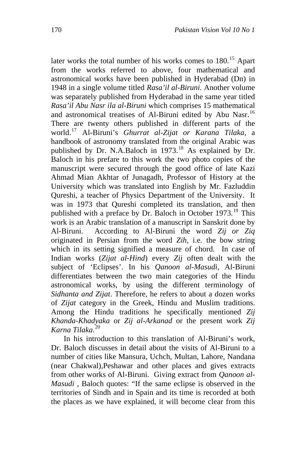later works the total number of his works comes to  $180$ .<sup>[15](#page-12-1)</sup> Apart from the works referred to above, four mathematical and astronomical works have been published in Hyderabad (Dn) in 1948 in a single volume titled *Rasa'il al-Biruni*. Another volume was separately published from Hyderabad in the same year titled *Rasa'il Abu Nasr ila al-Biruni* which comprises 15 mathematical and astronomical treatises of Al-Biruni edited by Abu Nasr.<sup>[16](#page-12-1)</sup> There are twenty others published in different parts of the world.[17](#page-12-1) Al-Biruni's *Ghurrat al-Zijat or Karana Tilaka*, a handbook of astronomy translated from the original Arabic was published by Dr. N.A.Baloch in 1973.<sup>[18](#page-12-1)</sup> As explained by Dr. Baloch in his prefare to this work the two photo copies of the manuscript were secured through the good office of late Kazi Ahmad Mian Akhtar of Junagadh, Professor of History at the University which was translated into English by Mr. Fazluddin Qureshi, a teacher of Physics Department of the University. It was in 1973 that Qureshi completed its translation, and then published with a preface by Dr. Baloch in October [19](#page-12-1)73.<sup>19</sup> This work is an Arabic translation of a manuscript in Sanskrit done by Al-Biruni. According to Al-Biruni the word *Zij or Ziq*  originated in Persian from the word *Zih*, i.e. the bow string which in its setting signified a measure of chord. In case of Indian works (*Zijat al-Hind*) every *Zij* often dealt with the subject of 'Eclipses'. In his *Qanoon al-Masudi*, Al-Biruni differentiates between the two main categories of the Hindu astronomical works, by using the different terminology of *Sidhanta and Zijat*. Therefore, he refers to about a dozen works of *Zijat* category in the Greek, Hindu and Muslim traditions. Among the Hindu traditions he specifically mentioned *Zij Khanda-Khadyaka* or *Zij al-Arkanad* or the present work *Zij Karna Tilaka*. [20](#page-12-1)

In his introduction to this translation of Al-Biruni's work, Dr. Baloch discusses in detail about the visits of Al-Biruni to a number of cities like Mansura, Uchch, Multan, Lahore, Nandana (near Chakwal),Peshawar and other places and gives extracts from other works of Al-Biruni. Giving extract from *Qanoon al-Masudi* , Baloch quotes: "If the same eclipse is observed in the territories of Sindh and in Spain and its time is recorded at both the places as we have explained, it will become clear from this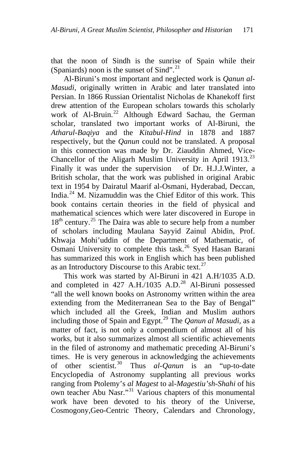that the noon of Sindh is the sunrise of Spain while their (Spaniards) noon is the sunset of Sind".<sup>[21](#page-12-1)</sup>

Al-Biruni's most important and neglected work is *Qanun al-Masudi*, originally written in Arabic and later translated into Persian. In 1866 Russian Orientalist Nicholas de Khanekoff first drew attention of the European scholars towards this scholarly work of Al-Bruin.<sup>[22](#page-12-1)</sup> Although Edward Sachau, the German scholar, translated two important works of Al-Biruni, the *Atharul-Baqiya* and the *Kitabul-Hind* in 1878 and 1887 respectively, but the *Qanun* could not be translated. A proposal in this connection was made by Dr. Ziauddin Ahmed, Vice-Chancellor of the Aligarh Muslim University in April 1913.<sup>[23](#page-12-1)</sup> Finally it was under the supervision of Dr. H.J.J.Winter, a British scholar, that the work was published in original Arabic text in 1954 by Dairatul Maarif al-Osmani, Hyderabad, Deccan, India. $^{24}$  $^{24}$  $^{24}$  M. Nizamuddin was the Chief Editor of this work. This book contains certain theories in the field of physical and mathematical sciences which were later discovered in Europe in  $18<sup>th</sup>$  century.<sup>[25](#page-12-1)</sup> The Daira was able to secure help from a number of scholars including Maulana Sayyid Zainul Abidin, Prof. Khwaja Mohi'uddin of the Department of Mathematic, of Osmani University to complete this task.<sup>[26](#page-12-1)</sup> Syed Hasan Barani has summarized this work in English which has been published as an Introductory Discourse to this Arabic text.<sup>[27](#page-12-1)</sup>

This work was started by Al-Biruni in 421 A.H/1035 A.D. and completed in 427 A.H./1035 A.D.<sup>[28](#page-12-1)</sup> Al-Biruni possessed "all the well known books on Astronomy written within the area extending from the Mediterranean Sea to the Bay of Bengal" which included all the Greek, Indian and Muslim authors including those of Spain and Egypt.[29](#page-12-1) The *Qanun al Masudi*, as a matter of fact, is not only a compendium of almost all of his works, but it also summarizes almost all scientific achievements in the filed of astronomy and mathematic preceding Al-Biruni's times. He is very generous in acknowledging the achievements of other scientist.[30](#page-12-1) Thus *al-Qanun* is an "up-to-date Encyclopedia of Astronomy supplanting all previous works ranging from Ptolemy's *al Magest* to al-*Magestiu'sh-Shahi* of his own teacher Abu Nasr."[31](#page-12-1) Various chapters of this monumental work have been devoted to his theory of the Universe, Cosmogony,Geo-Centric Theory, Calendars and Chronology,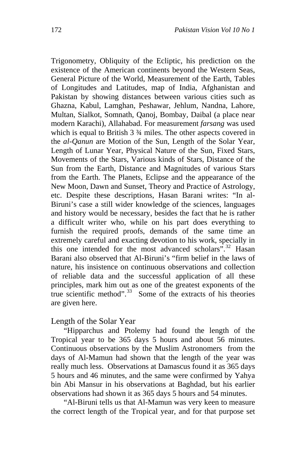Trigonometry, Obliquity of the Ecliptic, his prediction on the existence of the American continents beyond the Western Seas, General Picture of the World, Measurement of the Earth, Tables of Longitudes and Latitudes, map of India, Afghanistan and Pakistan by showing distances between various cities such as Ghazna, Kabul, Lamghan, Peshawar, Jehlum, Nandna, Lahore, Multan, Sialkot, Somnath, Qanoj, Bombay, Daibal (a place near modern Karachi), Allahabad. For measurement *farsang* was used which is equal to British 3 ¾ miles. The other aspects covered in the *al-Qanun* are Motion of the Sun, Length of the Solar Year, Length of Lunar Year, Physical Nature of the Sun, Fixed Stars, Movements of the Stars, Various kinds of Stars, Distance of the Sun from the Earth, Distance and Magnitudes of various Stars from the Earth. The Planets, Eclipse and the appearance of the New Moon, Dawn and Sunset, Theory and Practice of Astrology, etc. Despite these descriptions, Hasan Barani writes: "In al-Biruni's case a still wider knowledge of the sciences, languages and history would be necessary, besides the fact that he is rather a difficult writer who, while on his part does everything to furnish the required proofs, demands of the same time an extremely careful and exacting devotion to his work, specially in this one intended for the most advanced scholars<sup> $\frac{1}{2}$ </sup><sup>[32](#page-12-1)</sup> Hasan Barani also observed that Al-Biruni's "firm belief in the laws of nature, his insistence on continuous observations and collection of reliable data and the successful application of all these principles, mark him out as one of the greatest exponents of the true scientific method". $33$  Some of the extracts of his theories are given here.

### Length of the Solar Year

"Hipparchus and Ptolemy had found the length of the Tropical year to be 365 days 5 hours and about 56 minutes. Continuous observations by the Muslim Astronomers from the days of Al-Mamun had shown that the length of the year was really much less. Observations at Damascus found it as 365 days 5 hours and 46 minutes, and the same were confirmed by Yahya bin Abi Mansur in his observations at Baghdad, but his earlier observations had shown it as 365 days 5 hours and 54 minutes.

"Al-Biruni tells us that Al-Mamun was very keen to measure the correct length of the Tropical year, and for that purpose set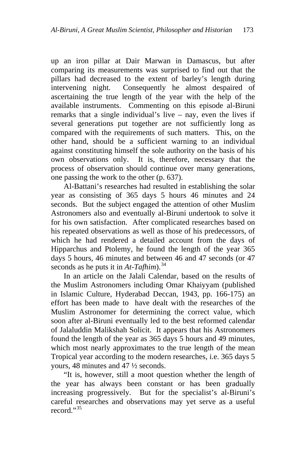up an iron pillar at Dair Marwan in Damascus, but after comparing its measurements was surprised to find out that the pillars had decreased to the extent of barley's length during intervening night. Consequently he almost despaired of ascertaining the true length of the year with the help of the available instruments. Commenting on this episode al-Biruni remarks that a single individual's live – nay, even the lives if several generations put together are not sufficiently long as compared with the requirements of such matters. This, on the other hand, should be a sufficient warning to an individual against constituting himself the sole authority on the basis of his own observations only. It is, therefore, necessary that the process of observation should continue over many generations, one passing the work to the other (p. 637).

Al-Battani's researches had resulted in establishing the solar year as consisting of 365 days 5 hours 46 minutes and 24 seconds. But the subject engaged the attention of other Muslim Astronomers also and eventually al-Biruni undertook to solve it for his own satisfaction. After complicated researches based on his repeated observations as well as those of his predecessors, of which he had rendered a detailed account from the days of Hipparchus and Ptolemy, he found the length of the year 365 days 5 hours, 46 minutes and between 46 and 47 seconds (or 47 seconds as he puts it in  $At-Tafhim)$ .<sup>[34](#page-12-1)</sup>

In an article on the Jalali Calendar, based on the results of the Muslim Astronomers including Omar Khaiyyam (published in Islamic Culture, Hyderabad Deccan, 1943, pp. 166-175) an effort has been made to have dealt with the researches of the Muslim Astronomer for determining the correct value, which soon after al-Biruni eventually led to the best reformed calendar of Jalaluddin Malikshah Solicit. It appears that his Astronomers found the length of the year as 365 days 5 hours and 49 minutes, which most nearly approximates to the true length of the mean Tropical year according to the modern researches, i.e. 365 days 5 yours, 48 minutes and 47 ½ seconds.

"It is, however, still a moot question whether the length of the year has always been constant or has been gradually increasing progressively. But for the specialist's al-Biruni's careful researches and observations may yet serve as a useful record."<sup>[35](#page-12-1)</sup>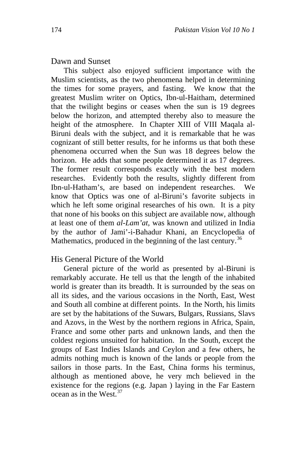#### Dawn and Sunset

This subject also enjoyed sufficient importance with the Muslim scientists, as the two phenomena helped in determining the times for some prayers, and fasting. We know that the greatest Muslim writer on Optics, Ibn-ul-Haitham, determined that the twilight begins or ceases when the sun is 19 degrees below the horizon, and attempted thereby also to measure the height of the atmosphere. In Chapter XIII of VIII Maqala al-Biruni deals with the subject, and it is remarkable that he was cognizant of still better results, for he informs us that both these phenomena occurred when the Sun was 18 degrees below the horizon. He adds that some people determined it as 17 degrees. The former result corresponds exactly with the best modern researches. Evidently both the results, slightly different from Ibn-ul-Hatham's, are based on independent researches. We know that Optics was one of al-Biruni's favorite subjects in which he left some original researches of his own. It is a pity that none of his books on this subject are available now, although at least one of them *al-Lam'at*, was known and utilized in India by the author of Jami'-i-Bahadur Khani, an Encyclopedia of Mathematics, produced in the beginning of the last century.<sup>[36](#page-12-1)</sup>

## His General Picture of the World

General picture of the world as presented by al-Biruni is remarkably accurate. He tell us that the length of the inhabited world is greater than its breadth. It is surrounded by the seas on all its sides, and the various occasions in the North, East, West and South all combine at different points. In the North, his limits are set by the habitations of the Suwars, Bulgars, Russians, Slavs and Azovs, in the West by the northern regions in Africa, Spain, France and some other parts and unknown lands, and then the coldest regions unsuited for habitation. In the South, except the groups of East Indies Islands and Ceylon and a few others, he admits nothing much is known of the lands or people from the sailors in those parts. In the East, China forms his terminus, although as mentioned above, he very mch believed in the existence for the regions (e.g. Japan ) laying in the Far Eastern  $ocean$  as in the West.<sup>[37](#page-12-1)</sup>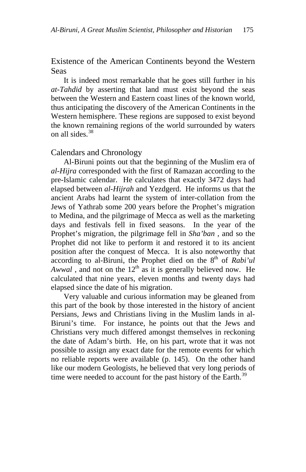Existence of the American Continents beyond the Western Seas

It is indeed most remarkable that he goes still further in his *at-Tahdid* by asserting that land must exist beyond the seas between the Western and Eastern coast lines of the known world, thus anticipating the discovery of the American Continents in the Western hemisphere. These regions are supposed to exist beyond the known remaining regions of the world surrounded by waters on all sides. $38$ 

#### Calendars and Chronology

Al-Biruni points out that the beginning of the Muslim era of *al-Hijra* corresponded with the first of Ramazan according to the pre-Islamic calendar. He calculates that exactly 3472 days had elapsed between *al-Hijrah* and Yezdgerd. He informs us that the ancient Arabs had learnt the system of inter-collation from the Jews of Yathrab some 200 years before the Prophet's migration to Medina, and the pilgrimage of Mecca as well as the marketing days and festivals fell in fixed seasons. In the year of the Prophet's migration, the pilgrimage fell in *Sha'ban* , and so the Prophet did not like to perform it and restored it to its ancient position after the conquest of Mecca. It is also noteworthy that according to al-Biruni, the Prophet died on the 8<sup>th</sup> of *Rabi'ul Awwal*, and not on the  $12<sup>th</sup>$  as it is generally believed now. He calculated that nine years, eleven months and twenty days had elapsed since the date of his migration.

Very valuable and curious information may be gleaned from this part of the book by those interested in the history of ancient Persians, Jews and Christians living in the Muslim lands in al-Biruni's time. For instance, he points out that the Jews and Christians very much differed amongst themselves in reckoning the date of Adam's birth. He, on his part, wrote that it was not possible to assign any exact date for the remote events for which no reliable reports were available (p. 145). On the other hand like our modern Geologists, he believed that very long periods of time were needed to account for the past history of the Earth.<sup>[39](#page-12-1)</sup>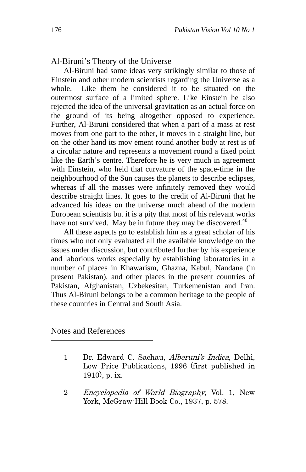## Al-Biruni's Theory of the Universe

Al-Biruni had some ideas very strikingly similar to those of Einstein and other modern scientists regarding the Universe as a whole. Like them he considered it to be situated on the outermost surface of a limited sphere. Like Einstein he also rejected the idea of the universal gravitation as an actual force on the ground of its being altogether opposed to experience. Further, Al-Biruni considered that when a part of a mass at rest moves from one part to the other, it moves in a straight line, but on the other hand its mov ement round another body at rest is of a circular nature and represents a movement round a fixed point like the Earth's centre. Therefore he is very much in agreement with Einstein, who held that curvature of the space-time in the neighbourhood of the Sun causes the planets to describe eclipses, whereas if all the masses were infinitely removed they would describe straight lines. It goes to the credit of Al-Biruni that he advanced his ideas on the universe much ahead of the modern European scientists but it is a pity that most of his relevant works have not survived. May be in future they may be discovered. $40$ 

All these aspects go to establish him as a great scholar of his times who not only evaluated all the available knowledge on the issues under discussion, but contributed further by his experience and laborious works especially by establishing laboratories in a number of places in Khawarism, Ghazna, Kabul, Nandana (in present Pakistan), and other places in the present countries of Pakistan, Afghanistan, Uzbekesitan, Turkemenistan and Iran. Thus Al-Biruni belongs to be a common heritage to the people of these countries in Central and South Asia.

# Notes and References

- 1 Dr. Edward C. Sachau, Alberuni's Indica, Delhi, Low Price Publications, 1996 (first published in 1910), p. ix.
- 2 Encyclopedia of World Biography, Vol. 1, New York, McGraw-Hill Book Co., 1937, p. 578.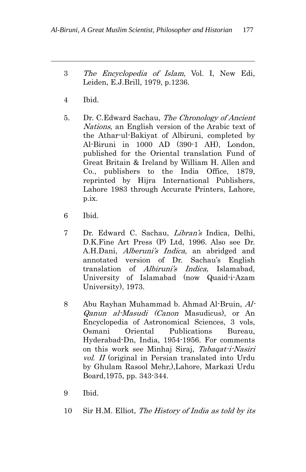- 3 The Encyclopedia of Islam, Vol. I, New Edi, Leiden, E.J.Brill, 1979, p.1236.
- 4 Ibid.

- 5. Dr. C.Edward Sachau, The Chronology of Ancient Nations, an English version of the Arabic text of the Athar-ul-Bakiyat of Albiruni, completed by Al-Biruni in 1000 AD (390-1 AH), London, published for the Oriental translation Fund of Great Britain & Ireland by William H. Allen and Co., publishers to the India Office, 1879, reprinted by Hijra International Publishers, Lahore 1983 through Accurate Printers, Lahore, p.ix.
- 6 Ibid.
- 7 Dr. Edward C. Sachau, Libran's Indica, Delhi, D.K.Fine Art Press (P) Ltd, 1996. Also see Dr. A.H.Dani, Alberuni's Indica, an abridged and annotated version of Dr. Sachau's English translation of Albiruni's Indica, Islamabad, University of Islamabad (now Quaid-i-Azam University), 1973.
- 8 Abu Rayhan Muhammad b. Ahmad Al-Bruin, Al-Qanun al-Masudi (Canon Masudicus), or An Encyclopedia of Astronomical Sciences, 3 vols, Osmani Oriental Publications Bureau, Hyderabad-Dn, India, 1954-1956. For comments on this work see Minhaj Siraj, Tabaqat-i-Nasiri vol. II (original in Persian translated into Urdu by Ghulam Rasool Mehr,),Lahore, Markazi Urdu Board,1975, pp. 343-344.
- 9 Ibid.
- 10 Sir H.M. Elliot, The History of India as told by its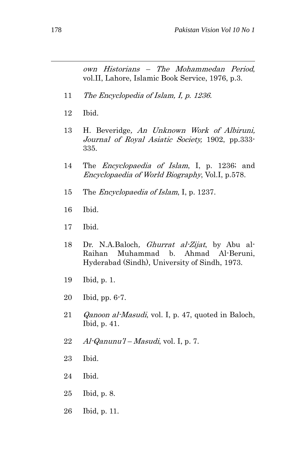own Historians – The Mohammedan Period, vol.II, Lahore, Islamic Book Service, 1976, p.3.

- 11 The Encyclopedia of Islam, I, p. 1236.
- 12 Ibid.
- 13 H. Beveridge, An Unknown Work of Albiruni, Journal of Royal Asiatic Society, 1902, pp.333- 335.
- 14 The *Encyclopaedia of Islam*, I, p. 1236; and Encyclopaedia of World Biography, Vol.I, p.578.
- 15 The *Encyclopaedia of Islam*, I, p. 1237.
- 16 Ibid.
- 17 Ibid.
- 18 Dr. N.A.Baloch, *Ghurrat al-Zijat*, by Abu al-Raihan Muhammad b. Ahmad Al-Beruni, Hyderabad (Sindh), University of Sindh, 1973.
- 19 Ibid, p. 1.
- 20 Ibid, pp. 6-7.
- 21 *Qanoon al-Masudi*, vol. I, p. 47, quoted in Baloch, Ibid, p. 41.
- 22  $Al$ -Qanunu'l Masudi, vol. I, p. 7.
- 23 Ibid.
- 24 Ibid.
- 25 Ibid, p. 8.
- 26 Ibid, p. 11.